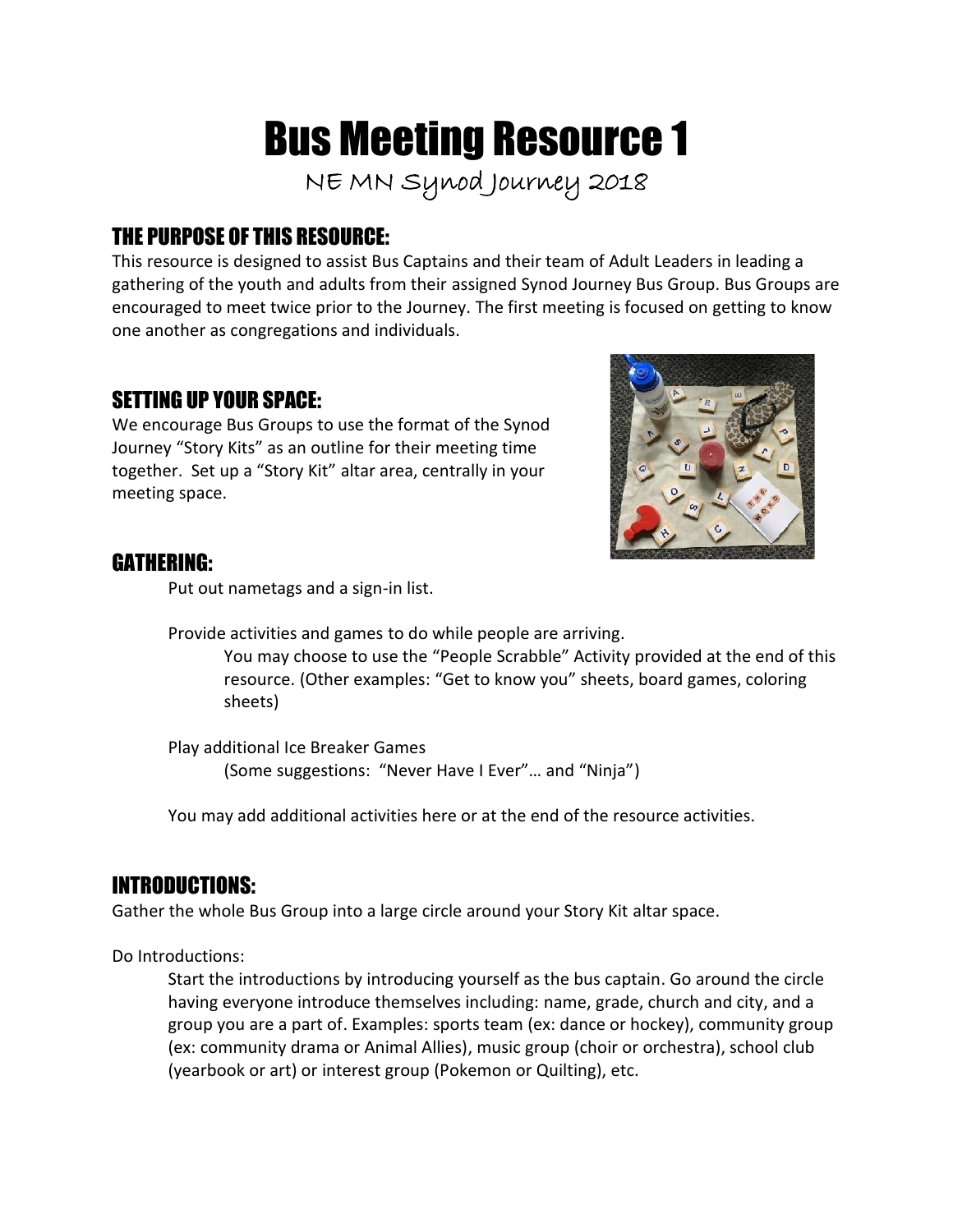# Bus Meeting Resource 1

**NE MN Synod Journey 2018**

# THE PURPOSE OF THIS RESOURCE:

This resource is designed to assist Bus Captains and their team of Adult Leaders in leading a gathering of the youth and adults from their assigned Synod Journey Bus Group. Bus Groups are encouraged to meet twice prior to the Journey. The first meeting is focused on getting to know one another as congregations and individuals.

## SETTING UP YOUR SPACE:

We encourage Bus Groups to use the format of the Synod Journey "Story Kits" as an outline for their meeting time together. Set up a "Story Kit" altar area, centrally in your meeting space.



#### GATHERING:

Put out nametags and a sign-in list.

Provide activities and games to do while people are arriving.

You may choose to use the "People Scrabble" Activity provided at the end of this resource. (Other examples: "Get to know you" sheets, board games, coloring sheets)

Play additional Ice Breaker Games (Some suggestions: "Never Have I Ever"… and "Ninja")

You may add additional activities here or at the end of the resource activities.

# INTRODUCTIONS:

Gather the whole Bus Group into a large circle around your Story Kit altar space.

Do Introductions:

Start the introductions by introducing yourself as the bus captain. Go around the circle having everyone introduce themselves including: name, grade, church and city, and a group you are a part of. Examples: sports team (ex: dance or hockey), community group (ex: community drama or Animal Allies), music group (choir or orchestra), school club (yearbook or art) or interest group (Pokemon or Quilting), etc.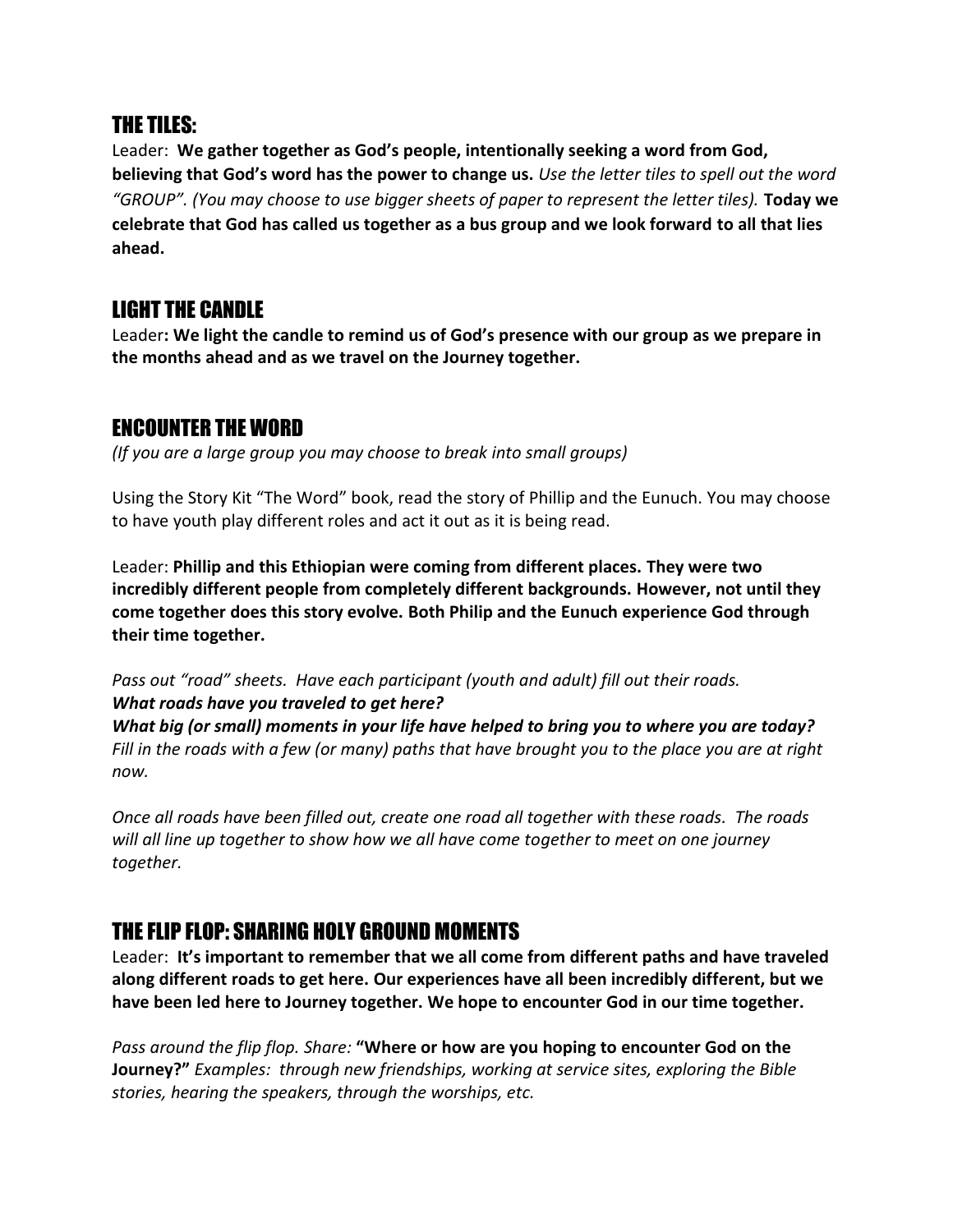#### THE TILES:

Leader: **We gather together as God's people, intentionally seeking a word from God, believing that God's word has the power to change us.** *Use the letter tiles to spell out the word "GROUP". (You may choose to use bigger sheets of paper to represent the letter tiles).* **Today we celebrate that God has called us together as a bus group and we look forward to all that lies ahead.**

#### LIGHT THE CANDLE

Leader**: We light the candle to remind us of God's presence with our group as we prepare in the months ahead and as we travel on the Journey together.**

# ENCOUNTER THE WORD

*(If you are a large group you may choose to break into small groups)*

Using the Story Kit "The Word" book, read the story of Phillip and the Eunuch. You may choose to have youth play different roles and act it out as it is being read.

Leader: **Phillip and this Ethiopian were coming from different places. They were two incredibly different people from completely different backgrounds. However, not until they come together does this story evolve. Both Philip and the Eunuch experience God through their time together.**

*Pass out "road" sheets. Have each participant (youth and adult) fill out their roads. What roads have you traveled to get here?*

*What big (or small) moments in your life have helped to bring you to where you are today? Fill in the roads with a few (or many) paths that have brought you to the place you are at right now.*

*Once all roads have been filled out, create one road all together with these roads. The roads will all line up together to show how we all have come together to meet on one journey together.*

# THE FLIP FLOP: SHARING HOLY GROUND MOMENTS

Leader: **It's important to remember that we all come from different paths and have traveled along different roads to get here. Our experiences have all been incredibly different, but we have been led here to Journey together. We hope to encounter God in our time together.**

*Pass around the flip flop. Share:* **"Where or how are you hoping to encounter God on the Journey?"** *Examples: through new friendships, working at service sites, exploring the Bible stories, hearing the speakers, through the worships, etc.*